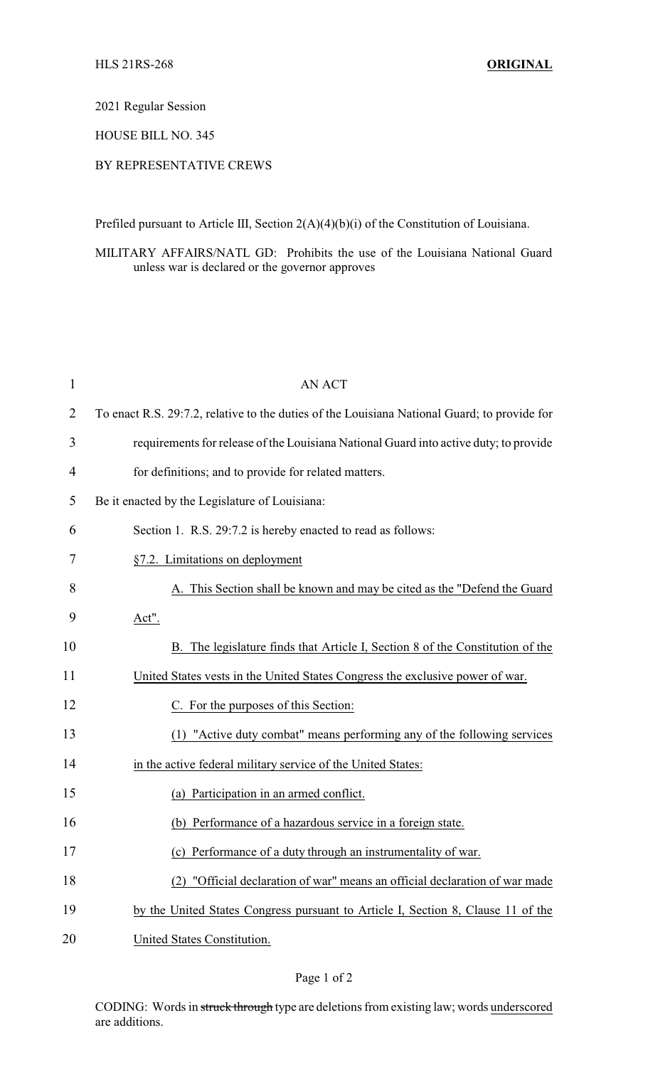#### 2021 Regular Session

### HOUSE BILL NO. 345

# BY REPRESENTATIVE CREWS

Prefiled pursuant to Article III, Section 2(A)(4)(b)(i) of the Constitution of Louisiana.

MILITARY AFFAIRS/NATL GD: Prohibits the use of the Louisiana National Guard unless war is declared or the governor approves

| $\mathbf{1}$   | <b>AN ACT</b>                                                                                |  |
|----------------|----------------------------------------------------------------------------------------------|--|
| $\overline{2}$ | To enact R.S. 29:7.2, relative to the duties of the Louisiana National Guard; to provide for |  |
| 3              | requirements for release of the Louisiana National Guard into active duty; to provide        |  |
| $\overline{4}$ | for definitions; and to provide for related matters.                                         |  |
| 5              | Be it enacted by the Legislature of Louisiana:                                               |  |
| 6              | Section 1. R.S. 29:7.2 is hereby enacted to read as follows:                                 |  |
| 7              | §7.2. Limitations on deployment                                                              |  |
| 8              | A. This Section shall be known and may be cited as the "Defend the Guard"                    |  |
| 9              | Act".                                                                                        |  |
| 10             | B. The legislature finds that Article I, Section 8 of the Constitution of the                |  |
| 11             | United States vests in the United States Congress the exclusive power of war.                |  |
| 12             | C. For the purposes of this Section:                                                         |  |
| 13             | (1) "Active duty combat" means performing any of the following services                      |  |
| 14             | in the active federal military service of the United States:                                 |  |
| 15             | (a) Participation in an armed conflict.                                                      |  |
| 16             | (b) Performance of a hazardous service in a foreign state.                                   |  |
| 17             | (c) Performance of a duty through an instrumentality of war.                                 |  |
| 18             | "Official declaration of war" means an official declaration of war made<br>(2)               |  |
| 19             | by the United States Congress pursuant to Article I, Section 8, Clause 11 of the             |  |
| 20             | United States Constitution.                                                                  |  |

# Page 1 of 2

CODING: Words in struck through type are deletions from existing law; words underscored are additions.